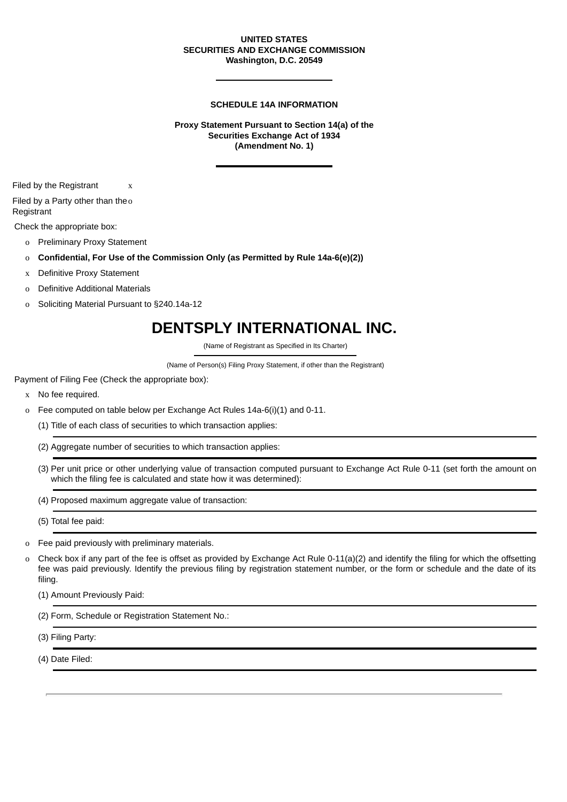### **UNITED STATES SECURITIES AND EXCHANGE COMMISSION Washington, D.C. 20549**

#### **SCHEDULE 14A INFORMATION**

**Proxy Statement Pursuant to Section 14(a) of the Securities Exchange Act of 1934 (Amendment No. 1)**

Filed by the Registrant x

Filed by a Party other than the o **Registrant** 

Check the appropriate box:

- o Preliminary Proxy Statement
- o **Confidential, For Use of the Commission Only (as Permitted by Rule 14a-6(e)(2))**
- x Definitive Proxy Statement
- o Definitive Additional Materials
- o Soliciting Material Pursuant to §240.14a-12

## **DENTSPLY INTERNATIONAL INC.**

(Name of Registrant as Specified in Its Charter)

(Name of Person(s) Filing Proxy Statement, if other than the Registrant)

Payment of Filing Fee (Check the appropriate box):

- x No fee required.
- o Fee computed on table below per Exchange Act Rules 14a-6(i)(1) and 0-11.
	- (1) Title of each class of securities to which transaction applies:
	- (2) Aggregate number of securities to which transaction applies:
	- (3) Per unit price or other underlying value of transaction computed pursuant to Exchange Act Rule 0-11 (set forth the amount on which the filing fee is calculated and state how it was determined):
	- (4) Proposed maximum aggregate value of transaction:

(5) Total fee paid:

- o Fee paid previously with preliminary materials.
- o Check box if any part of the fee is offset as provided by Exchange Act Rule  $0-11(a)(2)$  and identify the filing for which the offsetting fee was paid previously. Identify the previous filing by registration statement number, or the form or schedule and the date of its filing.

(1) Amount Previously Paid:

(2) Form, Schedule or Registration Statement No.:

(3) Filing Party:

(4) Date Filed: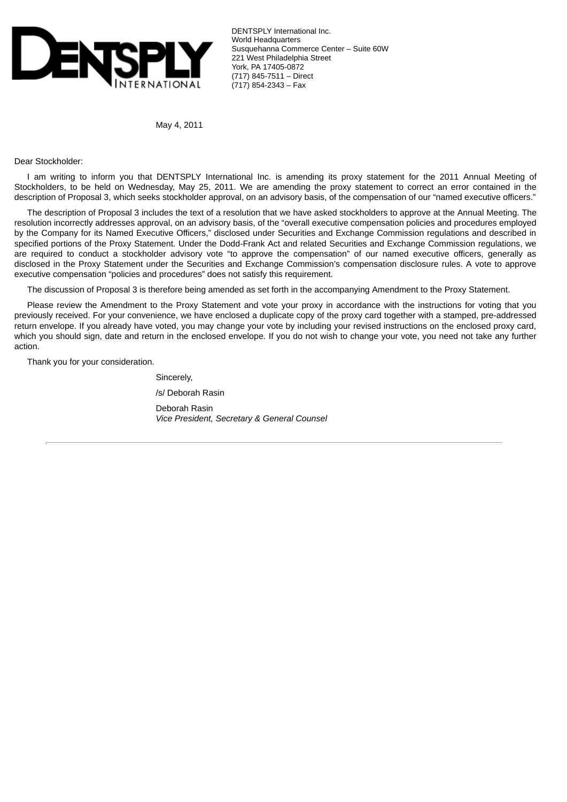

DENTSPLY International Inc. World Headquarters Susquehanna Commerce Center – Suite 60W 221 West Philadelphia Street York, PA 17405-0872 (717) 845-7511 – Direct (717) 854-2343 – Fax

May 4, 2011

Dear Stockholder:

I am writing to inform you that DENTSPLY International Inc. is amending its proxy statement for the 2011 Annual Meeting of Stockholders, to be held on Wednesday, May 25, 2011. We are amending the proxy statement to correct an error contained in the description of Proposal 3, which seeks stockholder approval, on an advisory basis, of the compensation of our "named executive officers."

The description of Proposal 3 includes the text of a resolution that we have asked stockholders to approve at the Annual Meeting. The resolution incorrectly addresses approval, on an advisory basis, of the "overall executive compensation policies and procedures employed by the Company for its Named Executive Officers," disclosed under Securities and Exchange Commission regulations and described in specified portions of the Proxy Statement. Under the Dodd-Frank Act and related Securities and Exchange Commission regulations, we are required to conduct a stockholder advisory vote "to approve the compensation" of our named executive officers, generally as disclosed in the Proxy Statement under the Securities and Exchange Commission's compensation disclosure rules. A vote to approve executive compensation "policies and procedures" does not satisfy this requirement.

The discussion of Proposal 3 is therefore being amended as set forth in the accompanying Amendment to the Proxy Statement.

Please review the Amendment to the Proxy Statement and vote your proxy in accordance with the instructions for voting that you previously received. For your convenience, we have enclosed a duplicate copy of the proxy card together with a stamped, pre-addressed return envelope. If you already have voted, you may change your vote by including your revised instructions on the enclosed proxy card, which you should sign, date and return in the enclosed envelope. If you do not wish to change your vote, you need not take any further action.

Thank you for your consideration.

Sincerely, /s/ Deborah Rasin Deborah Rasin *Vice President, Secretary & General Counsel*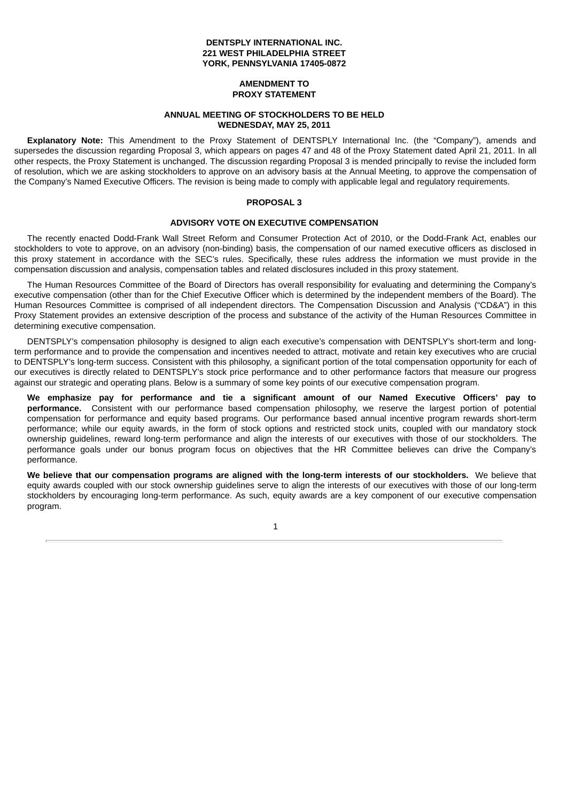### **DENTSPLY INTERNATIONAL INC. 221 WEST PHILADELPHIA STREET YORK, PENNSYLVANIA 17405-0872**

#### **AMENDMENT TO PROXY STATEMENT**

#### **ANNUAL MEETING OF STOCKHOLDERS TO BE HELD WEDNESDAY, MAY 25, 2011**

**Explanatory Note:** This Amendment to the Proxy Statement of DENTSPLY International Inc. (the "Company"), amends and supersedes the discussion regarding Proposal 3, which appears on pages 47 and 48 of the Proxy Statement dated April 21, 2011. In all other respects, the Proxy Statement is unchanged. The discussion regarding Proposal 3 is mended principally to revise the included form of resolution, which we are asking stockholders to approve on an advisory basis at the Annual Meeting, to approve the compensation of the Company's Named Executive Officers. The revision is being made to comply with applicable legal and regulatory requirements.

### **PROPOSAL 3**

#### **ADVISORY VOTE ON EXECUTIVE COMPENSATION**

The recently enacted Dodd-Frank Wall Street Reform and Consumer Protection Act of 2010, or the Dodd-Frank Act, enables our stockholders to vote to approve, on an advisory (non-binding) basis, the compensation of our named executive officers as disclosed in this proxy statement in accordance with the SEC's rules. Specifically, these rules address the information we must provide in the compensation discussion and analysis, compensation tables and related disclosures included in this proxy statement.

The Human Resources Committee of the Board of Directors has overall responsibility for evaluating and determining the Company's executive compensation (other than for the Chief Executive Officer which is determined by the independent members of the Board). The Human Resources Committee is comprised of all independent directors. The Compensation Discussion and Analysis ("CD&A") in this Proxy Statement provides an extensive description of the process and substance of the activity of the Human Resources Committee in determining executive compensation.

DENTSPLY's compensation philosophy is designed to align each executive's compensation with DENTSPLY's short-term and longterm performance and to provide the compensation and incentives needed to attract, motivate and retain key executives who are crucial to DENTSPLY's long-term success. Consistent with this philosophy, a significant portion of the total compensation opportunity for each of our executives is directly related to DENTSPLY's stock price performance and to other performance factors that measure our progress against our strategic and operating plans. Below is a summary of some key points of our executive compensation program.

**We emphasize pay for performance and tie a significant amount of our Named Executive Officers' pay to performance.** Consistent with our performance based compensation philosophy, we reserve the largest portion of potential compensation for performance and equity based programs. Our performance based annual incentive program rewards short-term performance; while our equity awards, in the form of stock options and restricted stock units, coupled with our mandatory stock ownership guidelines, reward long-term performance and align the interests of our executives with those of our stockholders. The performance goals under our bonus program focus on objectives that the HR Committee believes can drive the Company's performance.

**We believe that our compensation programs are aligned with the long-term interests of our stockholders.** We believe that equity awards coupled with our stock ownership guidelines serve to align the interests of our executives with those of our long-term stockholders by encouraging long-term performance. As such, equity awards are a key component of our executive compensation program.

1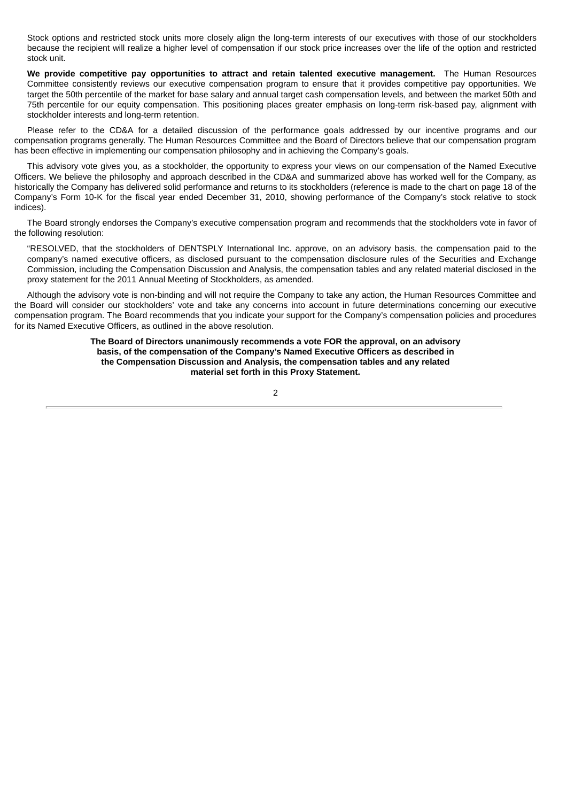Stock options and restricted stock units more closely align the long-term interests of our executives with those of our stockholders because the recipient will realize a higher level of compensation if our stock price increases over the life of the option and restricted stock unit.

**We provide competitive pay opportunities to attract and retain talented executive management.** The Human Resources Committee consistently reviews our executive compensation program to ensure that it provides competitive pay opportunities. We target the 50th percentile of the market for base salary and annual target cash compensation levels, and between the market 50th and 75th percentile for our equity compensation. This positioning places greater emphasis on long-term risk-based pay, alignment with stockholder interests and long-term retention.

Please refer to the CD&A for a detailed discussion of the performance goals addressed by our incentive programs and our compensation programs generally. The Human Resources Committee and the Board of Directors believe that our compensation program has been effective in implementing our compensation philosophy and in achieving the Company's goals.

This advisory vote gives you, as a stockholder, the opportunity to express your views on our compensation of the Named Executive Officers. We believe the philosophy and approach described in the CD&A and summarized above has worked well for the Company, as historically the Company has delivered solid performance and returns to its stockholders (reference is made to the chart on page 18 of the Company's Form 10-K for the fiscal year ended December 31, 2010, showing performance of the Company's stock relative to stock indices).

The Board strongly endorses the Company's executive compensation program and recommends that the stockholders vote in favor of the following resolution:

"RESOLVED, that the stockholders of DENTSPLY International Inc. approve, on an advisory basis, the compensation paid to the company's named executive officers, as disclosed pursuant to the compensation disclosure rules of the Securities and Exchange Commission, including the Compensation Discussion and Analysis, the compensation tables and any related material disclosed in the proxy statement for the 2011 Annual Meeting of Stockholders, as amended.

Although the advisory vote is non-binding and will not require the Company to take any action, the Human Resources Committee and the Board will consider our stockholders' vote and take any concerns into account in future determinations concerning our executive compensation program. The Board recommends that you indicate your support for the Company's compensation policies and procedures for its Named Executive Officers, as outlined in the above resolution.

#### **The Board of Directors unanimously recommends a vote FOR the approval, on an advisory basis, of the compensation of the Company's Named Executive Officers as described in the Compensation Discussion and Analysis, the compensation tables and any related material set forth in this Proxy Statement.**

 $\overline{2}$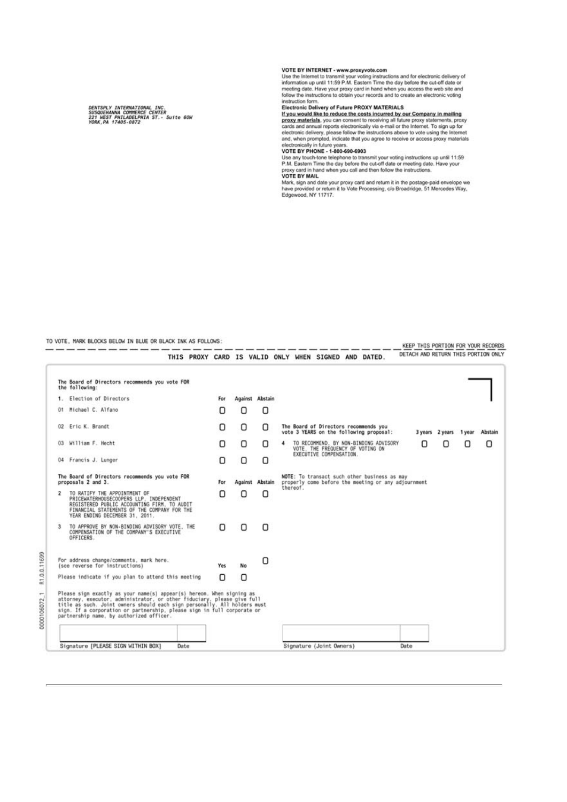DENTSPLY INTERNATIONAL INC.<br>SUSQUEMANNA COMMERCE CENTER<br>221 NEST PHILADELPHIA ST.- Suito 60W<br>YORK,PA 17405-0872

TO VOTE. MARK BLOCKS BELOW IN BLUE OR BLACK INK AS FOLLOWS:

0000106072 1 R1.0.0.11699

#### VOTE BY INTERNET - www.proxyvote.com

VOTE BY INTERNET - www.proxyvote.com<br>Lise the Internet to transmit your voting instructions and for electronic delivery of<br>information up until 11:59 P.M. Eastern Time the day before the cut-off date or<br>meeting date. Have

Electronic Delivery of Future PROXY MATERIALS<br>
If you would like to reduce the costs incurred by our Company in mailing<br>
If you would like to reduce the costs incurred by our Company in mailing<br>
proxy materials, you can co

VOTE BY MAIL<br>Mark, sign and date your proxy card and return it in the postage-paid envelope we<br>have provided or return it to Vote Processing, c/o Broadridge, 51 Mercedes Way,<br>Edgewood, NY 11717.

|  |  |  |  |                                                      |  | KEEP THIS PORTION FOR YOUR RECORDS  |
|--|--|--|--|------------------------------------------------------|--|-------------------------------------|
|  |  |  |  | THIS PROXY CARD IS VALID ONLY WHEN SIGNED AND DATED. |  | DETACH AND RETURN THIS PORTION ONLY |

|                                     | The Board of Directors recommends you vote FOR<br>the following:                                                                                                                                                                                                                                                                                     |     |         |                 |                                                                                                     |   |        |         |
|-------------------------------------|------------------------------------------------------------------------------------------------------------------------------------------------------------------------------------------------------------------------------------------------------------------------------------------------------------------------------------------------------|-----|---------|-----------------|-----------------------------------------------------------------------------------------------------|---|--------|---------|
| $1 -$                               | Election of Directors                                                                                                                                                                                                                                                                                                                                | For |         | Against Abstain |                                                                                                     |   |        |         |
| 01                                  | Michael C. Alfano                                                                                                                                                                                                                                                                                                                                    | Ω   | О       | 0               |                                                                                                     |   |        |         |
|                                     | 02 Eric K. Brandt                                                                                                                                                                                                                                                                                                                                    | о   | О       | Ω               | The Board of Directors recommends you<br>vote 3 YEARS on the following proposal:<br>3 years 2 years |   | 1 year | Abstain |
| William F. Hecht<br>03 <sub>1</sub> |                                                                                                                                                                                                                                                                                                                                                      | Ο   | 0       | 0               | TO RECOMMEND. BY NON-BINDING ADVISORY<br>ο<br>4<br>VOTE. THE FREQUENCY OF VOTING ON                 | ο | Ω      | О       |
|                                     | 04 Francis J. Lunger                                                                                                                                                                                                                                                                                                                                 | Ω   | О       | Ω               | EXECUTIVE COMPENSATION.                                                                             |   |        |         |
|                                     | The Board of Directors recommends you vote FOR<br>proposals 2 and 3.                                                                                                                                                                                                                                                                                 |     | Against | Abstain         | NOTE: To transact such other business as may<br>properly come before the meeting or any adjournment |   |        |         |
| $\overline{2}$                      | TO RATIFY THE APPOINTMENT OF<br>PRICEWATERHOUSECOOPERS LLP. INDEPENDENT<br>REGISTERED PUBLIC ACCOUNTING FIRM. TO AUDIT<br>FINANCIAL STATEMENTS OF THE COMPANY FOR THE<br>YEAR ENDING DECEMBER 31, 2011.                                                                                                                                              | О   | о       | 0               | thereof.                                                                                            |   |        |         |
|                                     | TO APPROVE BY NON-BINDING ADVISORY VOTE. THE<br>COMPENSATION OF THE COMPANY'S EXECUTIVE<br>OFFICERS.                                                                                                                                                                                                                                                 | n   | Ω       | n               |                                                                                                     |   |        |         |
|                                     | For address change/comments, mark here.<br>(see reverse for instructions)                                                                                                                                                                                                                                                                            | Yes | No.     | О               |                                                                                                     |   |        |         |
|                                     | Please indicate if you plan to attend this meeting                                                                                                                                                                                                                                                                                                   | Ο   | Ο       |                 |                                                                                                     |   |        |         |
|                                     | Please sign exactly as your name(s) appear(s) hereon. When signing as<br>attorney, executor, administrator, or other fiduciary, please give full<br>title as such. Joint owners should each sign personally. All holders must<br>sign. If a corporation or partnership, please sign in full corporate or<br>partnership name, by authorized officer. |     |         |                 |                                                                                                     |   |        |         |
|                                     |                                                                                                                                                                                                                                                                                                                                                      |     |         |                 |                                                                                                     |   |        |         |
|                                     | Signature [PLEASE SIGN WITHIN BOX]<br>Date                                                                                                                                                                                                                                                                                                           |     |         |                 | Signature (Joint Owners)<br>Date                                                                    |   |        |         |